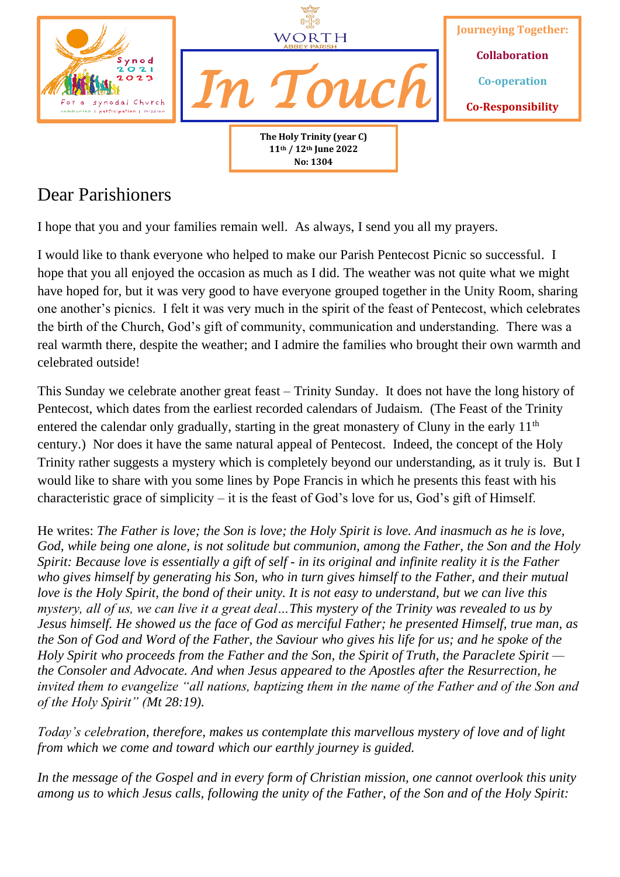

# Dear Parishioners

I hope that you and your families remain well. As always, I send you all my prayers.

I would like to thank everyone who helped to make our Parish Pentecost Picnic so successful. I hope that you all enjoyed the occasion as much as I did. The weather was not quite what we might have hoped for, but it was very good to have everyone grouped together in the Unity Room, sharing one another's picnics. I felt it was very much in the spirit of the feast of Pentecost, which celebrates the birth of the Church, God's gift of community, communication and understanding. There was a real warmth there, despite the weather; and I admire the families who brought their own warmth and celebrated outside!

This Sunday we celebrate another great feast – Trinity Sunday. It does not have the long history of Pentecost, which dates from the earliest recorded calendars of Judaism. (The Feast of the Trinity entered the calendar only gradually, starting in the great monastery of Cluny in the early  $11<sup>th</sup>$ century.) Nor does it have the same natural appeal of Pentecost. Indeed, the concept of the Holy Trinity rather suggests a mystery which is completely beyond our understanding, as it truly is. But I would like to share with you some lines by Pope Francis in which he presents this feast with his characteristic grace of simplicity – it is the feast of God's love for us, God's gift of Himself.

He writes: *The Father is love; the Son is love; the Holy Spirit is love. And inasmuch as he is love, God, while being one alone, is not solitude but communion, among the Father, the Son and the Holy Spirit: Because love is essentially a gift of self - in its original and infinite reality it is the Father who gives himself by generating his Son, who in turn gives himself to the Father, and their mutual love is the Holy Spirit, the bond of their unity. It is not easy to understand, but we can live this mystery, all of us, we can live it a great deal…This mystery of the Trinity was revealed to us by Jesus himself. He showed us the face of God as merciful Father; he presented Himself, true man, as the Son of God and Word of the Father, the Saviour who gives his life for us; and he spoke of the Holy Spirit who proceeds from the Father and the Son, the Spirit of Truth, the Paraclete Spirit the Consoler and Advocate. And when Jesus appeared to the Apostles after the Resurrection, he invited them to evangelize "all nations, baptizing them in the name of the Father and of the Son and of the Holy Spirit" (Mt 28:19).*

*Today's celebration, therefore, makes us contemplate this marvellous mystery of love and of light from which we come and toward which our earthly journey is guided.*

*In the message of the Gospel and in every form of Christian mission, one cannot overlook this unity among us to which Jesus calls, following the unity of the Father, of the Son and of the Holy Spirit:*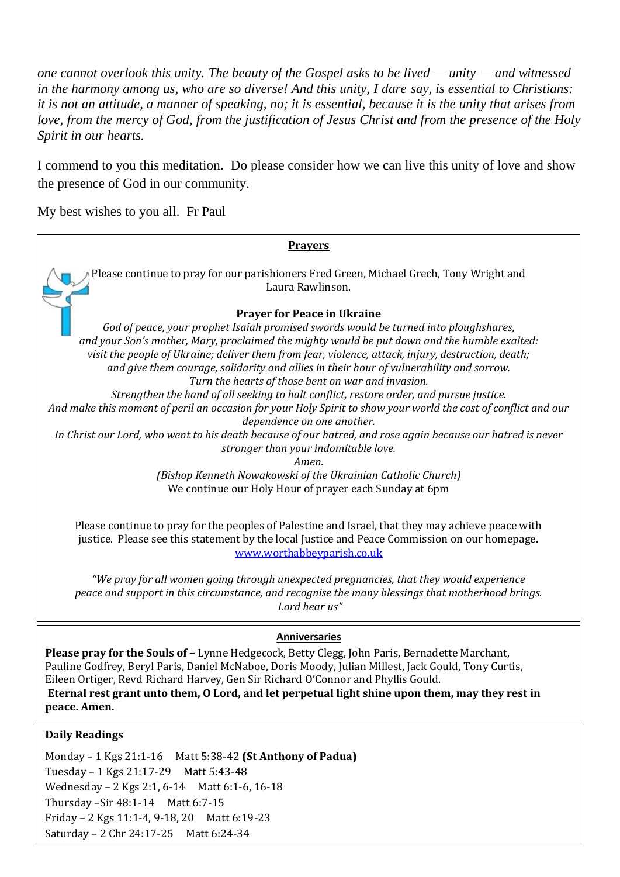*one cannot overlook this unity. The beauty of the Gospel asks to be lived — unity — and witnessed in the harmony among us, who are so diverse! And this unity, I dare say, is essential to Christians: it is not an attitude, a manner of speaking, no; it is essential, because it is the unity that arises from love, from the mercy of God, from the justification of Jesus Christ and from the presence of the Holy Spirit in our hearts.*

I commend to you this meditation. Do please consider how we can live this unity of love and show the presence of God in our community.

My best wishes to you all. Fr Paul



**Eternal rest grant unto them, O Lord, and let perpetual light shine upon them, may they rest in peace. Amen.**

#### **Daily Readings**

Monday – 1 Kgs 21:1-16 Matt 5:38-42 **(St Anthony of Padua)** Tuesday – 1 Kgs 21:17-29 Matt 5:43-48 Wednesday – 2 Kgs 2:1, 6-14 Matt 6:1-6, 16-18 Thursday –Sir 48:1-14 Matt 6:7-15 Friday – 2 Kgs 11:1-4, 9-18, 20 Matt 6:19-23 Saturday – 2 Chr 24:17-25 Matt 6:24-34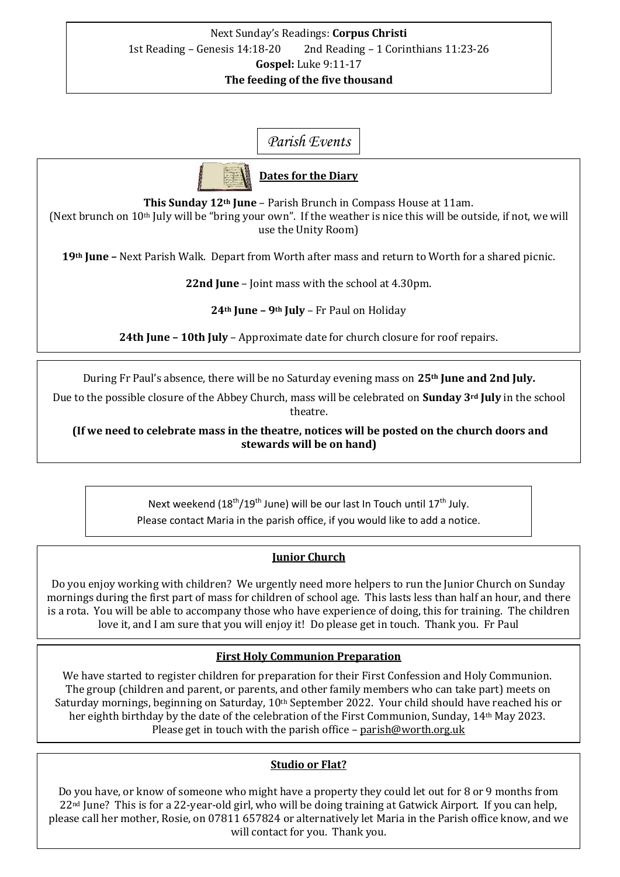#### Next Sunday's Readings: **Corpus Christi** 1st Reading – Genesis 14:18-20 2nd Reading – 1 Corinthians 11:23-26 **Gospel:** Luke 9:11-17 **The feeding of the five thousand**





**This Sunday 12th June** – Parish Brunch in Compass House at 11am.

(Next brunch on 10th July will be "bring your own". If the weather is nice this will be outside, if not, we will use the Unity Room)

**19th June –** Next Parish Walk. Depart from Worth after mass and return to Worth for a shared picnic.

**22nd June** – Joint mass with the school at 4.30pm.

**24th June – 9th July** – Fr Paul on Holiday

**24th June – 10th July** – Approximate date for church closure for roof repairs.

During Fr Paul's absence, there will be no Saturday evening mass on **25th June and 2nd July.**

Due to the possible closure of the Abbey Church, mass will be celebrated on **Sunday 3rd July** in the school theatre.

**(If we need to celebrate mass in the theatre, notices will be posted on the church doors and stewards will be on hand)**

> Next weekend ( $18<sup>th</sup>/19<sup>th</sup>$  June) will be our last In Touch until  $17<sup>th</sup>$  July. Please contact Maria in the parish office, if you would like to add a notice.

#### **Junior Church**

Do you enjoy working with children? We urgently need more helpers to run the Junior Church on Sunday mornings during the first part of mass for children of school age. This lasts less than half an hour, and there is a rota. You will be able to accompany those who have experience of doing, this for training. The children love it, and I am sure that you will enjoy it! Do please get in touch. Thank you. Fr Paul

### **First Holy Communion Preparation**

We have started to register children for preparation for their First Confession and Holy Communion. The group (children and parent, or parents, and other family members who can take part) meets on Saturday mornings, beginning on Saturday, 10<sup>th</sup> September 2022. Your child should have reached his or her eighth birthday by the date of the celebration of the First Communion, Sunday, 14th May 2023. Please get in touch with the parish office – [parish@worth.org.uk](mailto:parish@worth.org.uk)

#### **Studio or Flat?**

Do you have, or know of someone who might have a property they could let out for 8 or 9 months from 22nd June? This is for a 22-year-old girl, who will be doing training at Gatwick Airport. If you can help, please call her mother, Rosie, on 07811 657824 or alternatively let Maria in the Parish office know, and we will contact for you. Thank you.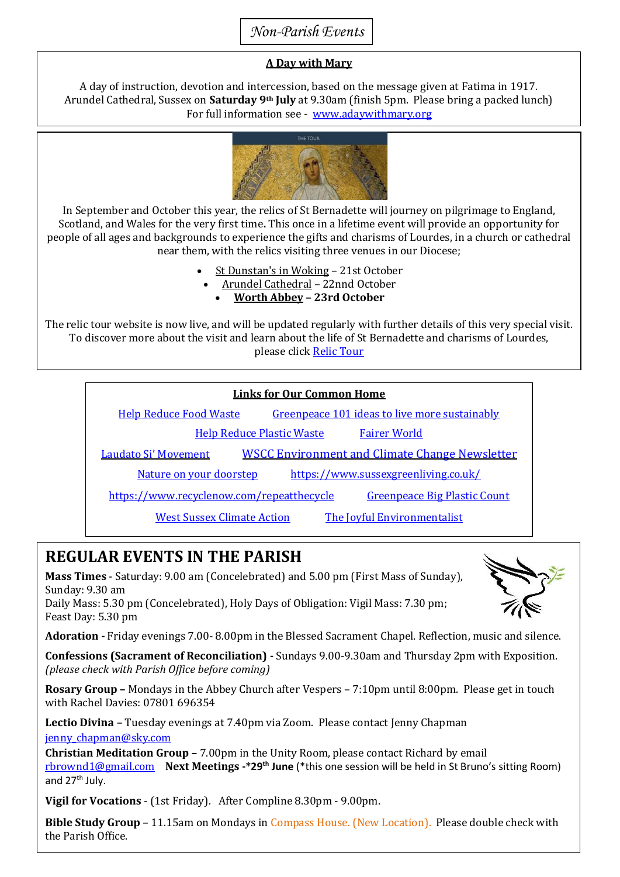*Non-Parish Events*

#### **A Day with Mary**

A day of instruction, devotion and intercession, based on the message given at Fatima in 1917. Arundel Cathedral, Sussex on **Saturday 9th July** at 9.30am (finish 5pm. Please bring a packed lunch) For full information see - [www.adaywithmary.org](http://www.adaywithmary.org/)



In September and October this year, the relics of St Bernadette will journey on pilgrimage to England, Scotland, and Wales for the very first time**.** This once in a lifetime event will provide an opportunity for people of all ages and backgrounds to experience the gifts and charisms of Lourdes, in a church or cathedral near them, with the relics visiting three venues in our Diocese;

- [St Dunstan's in Woking](https://abdiocese.us9.list-manage.com/track/click?u=6ad3715cf61665df736c264a6&id=436c714e60&e=8bc70b5251) 21st October
- [Arundel Cathedral](https://abdiocese.us9.list-manage.com/track/click?u=6ad3715cf61665df736c264a6&id=738cdd809f&e=8bc70b5251) 22nnd October
	- **[Worth Abbey](https://abdiocese.us9.list-manage.com/track/click?u=6ad3715cf61665df736c264a6&id=1f466cd2f9&e=8bc70b5251) – 23rd October**

The relic tour website is now live, and will be updated regularly with further details of this very special visit. To discover more about the visit and learn about the life of St Bernadette and charisms of Lourdes, please click [Relic Tour](https://stbernadette.org.uk/?ct=t%28EMAIL_CAMPAIGN_2_17_2022_14_56_COPY_02%29&mc_cid=56bc6f4520&mc_eid=8bc70b5251)

#### **Links for Our Common Home**

[Help Reduce Food Waste](https://toogoodtogo.us11.list-manage.com/track/click?u=1d95939f0943ea37b27dd7764&id=d414ee5d71&e=d30af1a37f) [Greenpeace 101 ideas to live more sustainably](https://action.greenpeace.org.uk/Greenpeace-Guide-to-Life?source=EM&subsource=GOFRNAPEEM07YS&utm_source=newsletter&utm_medium=Email&utm_campaign=Guide+to+Life++PE+20211028&utm_term=Full+List)

[Help Reduce Plastic Waste](https://www.futurelearn.com/info/blog/how-to-reduce-plastic-waste) [Fairer World](https://mailchi.mp/ca81dc08590c/fairer-world-lindfield-newsletter-april-15615906?e=8ee57b2955)

Laudato Si' [Movement](https://laudatosimovement.org/) [WSCC Environment and Climate Change Newsletter](https://content.govdelivery.com/accounts/UKWSCC/bulletins/308b657)

[Nature on your doorstep](https://www.rspb.org.uk/get-involved/activities/nature-on-your-doorstep/?utm_source=notes_on_nature_20211016&utm_medium=email&utm_term=&utm_content=button-guidance-bird-woodpecker-top-power-full&utm_campaign=notes_on_nature&sourcecode=&cta_sourcecode=&modulecontent=) <https://www.sussexgreenliving.co.uk/>

<https://www.recyclenow.com/repeatthecycle>[Greenpeace Big Plastic Count](https://thebigplasticcount.com/sign-up/digital?source=EM&subsource=OCPOPSOAEM21JL&utm_source=newsletter&utm_medium=Email&utm_campaign=BPC%20-%20Household%20sign%20up%20%20OA%2020220221&utm_term=Full%20List)

[West Sussex Climate Action](https://www.westsussex.gov.uk/leisure-recreation-and-community/west-sussex-climate-action/) [The Joyful Environmentalist](https://mailchi.mp/3d17e74dd9f1/fairer-world-lindfield-newsletter-april-16088074?e=8ee57b2955)

# **REGULAR EVENTS IN THE PARISH**

**Mass Times** - Saturday: 9.00 am (Concelebrated) and 5.00 pm (First Mass of Sunday), Sunday: 9.30 am Daily Mass: 5.30 pm (Concelebrated), Holy Days of Obligation: Vigil Mass: 7.30 pm; Feast Day: 5.30 pm



**Adoration -** Friday evenings 7.00- 8.00pm in the Blessed Sacrament Chapel. Reflection, m[usic and si](http://thegreenstudy.com/2013/04/15/the-nature-of-doves/)lence.

**Confessions (Sacrament of Reconciliation) -** Sundays 9.00-9.30am and Thursday 2pm with Exposition. *(please check with Parish Office before coming)*

**Rosary Group –** Mondays in the Abbey Church after Vespers – 7:10pm until 8:00pm. Plea[se get in t](https://creativecommons.org/licenses/by-nd/3.0/)ouch with Rachel Davies: 07801 696354

**Lectio Divina –** Tuesday evenings at 7.40pm via Zoom. Please contact Jenny Chapman jenny chapman@sky.com

**Christian Meditation Group –** 7.00pm in the Unity Room, please contact Richard by email [rbrownd1@gmail.com](mailto:rbrownd1@gmail.com) **Next Meetings -\*29th June** (\*this one session will be held in St Bruno's sitting Room) and 27<sup>th</sup> July.

**Vigil for Vocations** - (1st Friday). After Compline 8.30pm - 9.00pm.

**Bible Study Group** – 11.15am on Mondays in Compass House. (New Location). Please double check with the Parish Office.